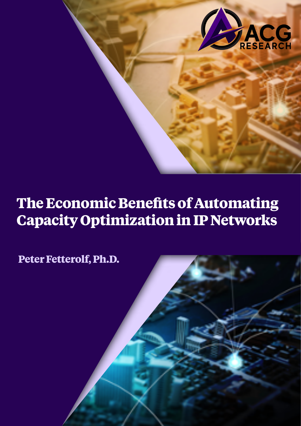

## **The Economic Benefits of Automating Capacity Optimization in IP Networks**

**Peter Fetterolf, Ph.D.**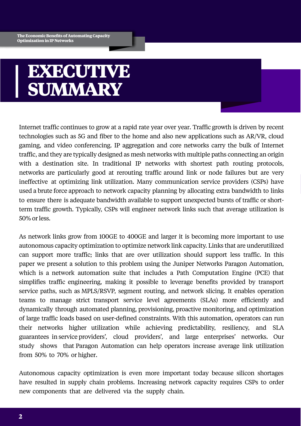# **EXECUTIVE SUMMARY**

Internet traffic continues to grow at a rapid rate year over year. Traffic growth is driven by recent technologies such as 5G and fiber to the home and also new applications such as AR/VR, cloud gaming, and video conferencing. IP aggregation and core networks carry the bulk of Internet traffic, and they are typically designed as mesh networks with multiple paths connecting an origin with a destination site. In traditional IP networks with shortest path routing protocols, networks are particularly good at rerouting traffic around link or node failures but are very ineffective at optimizing link utilization. Many communication service providers (CSPs) have used a brute force approach to network capacity planning by allocating extra bandwidth to links to ensure there is adequate bandwidth available to support unexpected bursts of traffic or shortterm traffic growth. Typically, CSPs will engineer network links such that average utilization is 50% or less.

As network links grow from 100GE to 400GE and larger it is becoming more important to use autonomous capacity optimization to optimize network link capacity. Links that are underutilized can support more traffic; links that are over utilization should support less traffic. In this paper we present a solution to this problem using the Juniper Networks Paragon Automation, which is a network automation suite that includes a Path Computation Engine (PCE) that simplifies traffic engineering, making it possible to leverage benefits provided by transport service paths, such as MPLS/RSVP, segment routing, and network slicing. It enables operation teams to manage strict transport service level agreements (SLAs) more efficiently and dynamically through automated planning, provisioning, proactive monitoring, and optimization of large traffic loads based on user-defined constraints. With this automation, operators can run their networks higher utilization while achieving predictability, resiliency, and SLA guarantees in service providers', cloud providers', and large enterprises' networks. Our study shows that Paragon Automation can help operators increase average link utilization from 50% to 70% or higher.

Autonomous capacity optimization is even more important today because silicon shortages have resulted in supply chain problems. Increasing network capacity requires CSPs to order new components that are delivered via the supply chain.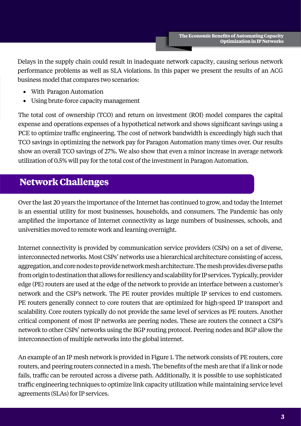Delays in the supply chain could result in inadequate network capacity, causing serious network performance problems as well as SLA violations. In this paper we present the results of an ACG business model that compares two scenarios:

- With Paragon Automation
- Using brute-force capacity management

The total cost of ownership (TCO) and return on investment (ROI) model compares the capital expense and operations expenses of a hypothetical network and shows significant savings using a PCE to optimize traffic engineering. The cost of network bandwidth is exceedingly high such that TCO savings in optimizing the network pay for Paragon Automation many times over. Our results show an overall TCO savings of 27%. We also show that even a minor increase in average network utilization of 0.5% will pay for the total cost of the investment in Paragon Automation.

### **Network Challenges**

Over the last 20 years the importance of the Internet has continued to grow, and today the Internet is an essential utility for most businesses, households, and consumers. The Pandemic has only amplified the importance of Internet connectivity as large numbers of businesses, schools, and universities moved to remote work and learning overnight.

Internet connectivity is provided by communication service providers (CSPs) on a set of diverse, interconnected networks. Most CSPs' networks use a hierarchical architecture consisting of access, aggregation, and core nodes to provide network mesh architecture. The mesh provides diverse paths from origin to destination that allows for resiliency and scalability for IP services. Typically, provider edge (PE) routers are used at the edge of the network to provide an interface between a customer's network and the CSP's network. The PE router provides multiple IP services to end customers. PE routers generally connect to core routers that are optimized for high-speed IP transport and scalability. Core routers typically do not provide the same level of services as PE routers. Another critical component of most IP networks are peering nodes. These are routers the connect a CSP's network to other CSPs' networks using the BGP routing protocol. Peering nodes and BGP allow the interconnection of multiple networks into the global internet.

An example of an IP mesh network is provided in Figure 1. The network consists of PE routers, core routers, and peering routers connected in a mesh. The benefits of the mesh are that if a link or node fails, traffic can be rerouted across a diverse path. Additionally, it is possible to use sophisticated traffic engineering techniques to optimize link capacity utilization while maintaining service level agreements (SLAs) for IP services.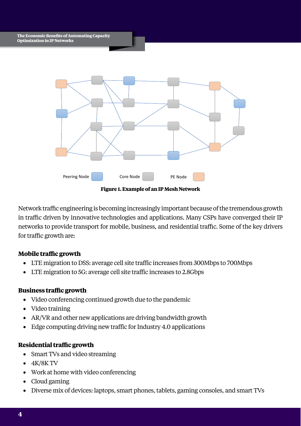

**Figure 1. Example of an IP Mesh Network**

Network traffic engineering is becoming increasingly important because of the tremendous growth in traffic driven by innovative technologies and applications. Many CSPs have converged their IP networks to provide transport for mobile, business, and residential traffic. Some of the key drivers for traffic growth are:

### **Mobile traffic growth**

- LTE migration to DSS: average cell site traffic increases from 300Mbps to 700Mbps
- LTE migration to 5G: average cell site traffic increases to 2.8Gbps

### **Business traffic growth**

- Video conferencing continued growth due to the pandemic
- Video training
- AR/VR and other new applications are driving bandwidth growth
- Edge computing driving new traffic for Industry 4.0 applications

### **Residential traffic growth**

- Smart TVs and video streaming
- $\bullet$  4K/8K TV
- Work at home with video conferencing
- Cloud gaming
- Diverse mix of devices: laptops, smart phones, tablets, gaming consoles, and smart TVs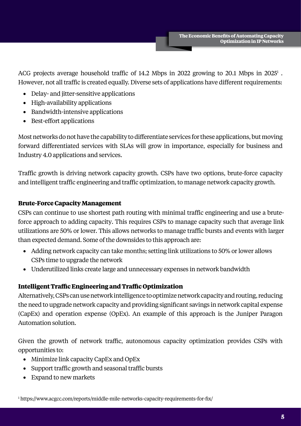ACG projects average household traffic of 14.2 Mbps in 2022 growing to 20.1 Mbps in 2025<sup>1</sup>. However, not all traffic is created equally. Diverse sets of applications have different requirements:

- Delay- and jitter-sensitive applications
- High-availability applications
- Bandwidth-intensive applications
- Best-effort applications

Most networks do not have the capability to differentiate services for these applications, but moving forward differentiated services with SLAs will grow in importance, especially for business and Industry 4.0 applications and services.

Traffic growth is driving network capacity growth. CSPs have two options, brute-force capacity and intelligent traffic engineering and traffic optimization, to manage network capacity growth.

### **Brute-Force Capacity Management**

CSPs can continue to use shortest path routing with minimal traffic engineering and use a bruteforce approach to adding capacity. This requires CSPs to manage capacity such that average link utilizations are 50% or lower. This allows networks to manage traffic bursts and events with larger than expected demand. Some of the downsides to this approach are:

- Adding network capacity can take months; setting link utilizations to 50% or lower allows CSPs time to upgrade the network
- Underutilized links create large and unnecessary expenses in network bandwidth

### **Intelligent Traffic Engineering and Traffic Optimization**

Alternatively, CSPs can use network intelligence to optimize network capacity and routing, reducing the need to upgrade network capacity and providing significant savings in network capital expense (CapEx) and operation expense (OpEx). An example of this approach is the Juniper Paragon Automation solution.

Given the growth of network traffic, autonomous capacity optimization provides CSPs with opportunities to:

- Minimize link capacity CapEx and OpEx
- Support traffic growth and seasonal traffic bursts
- Expand to new markets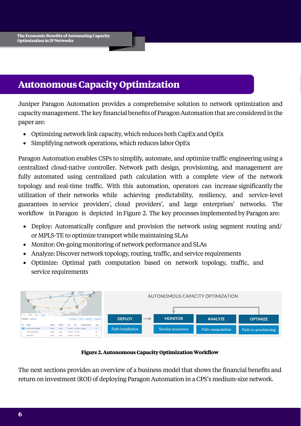### **Autonomous Capacity Optimization**

Juniper Paragon Automation provides a comprehensive solution to network optimization and capacity management. The key financial benefits of Paragon Automation that are considered in the paper are:

- Optimizing network link capacity, which reduces both CapEx and OpEx
- Simplifying network operations, which reduces labor OpEx

Paragon Automation enables CSPs to simplify, automate, and optimize traffic engineering using a centralized cloud-native controller. Network path design, provisioning, and management are fully automated using centralized path calculation with a complete view of the network topology and real-time traffic. With this automation, operators can increase significantly the utilization of their networks while achieving predictability, resiliency, and service-level guarantees in service providers', cloud providers', and large enterprises' networks. The workflow in Paragon is depicted in Figure 2. The key processes implemented by Paragon are:

- Deploy: Automatically configure and provision the network using segment routing and/ or MPLS-TE to optimize transport while maintaining SLAs
- Monitor: On-going monitoring of network performance and SLAs
- Analyze: Discover network topology, routing, traffic, and service requirements
- Optimize: Optimal path computation based on network topology, traffic, and service requirements



#### **Figure 2. Autonomous Capacity Optimization Workflow**

The next sections provides an overview of a business model that shows the financial benefits and return on investment (ROI) of deploying Paragon Automation in a CPS's medium-size network.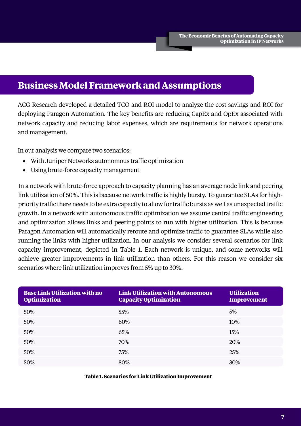### **Business Model Framework and Assumptions**

ACG Research developed a detailed TCO and ROI model to analyze the cost savings and ROI for deploying Paragon Automation. The key benefits are reducing CapEx and OpEx associated with network capacity and reducing labor expenses, which are requirements for network operations and management.

In our analysis we compare two scenarios:

- With Juniper Networks autonomous traffic optimization
- Using brute-force capacity management

In a network with brute-force approach to capacity planning has an average node link and peering link utilization of 50%. This is because network traffic is highly bursty. To guarantee SLAs for highpriority traffic there needs to be extra capacity to allow for traffic bursts as well as unexpected traffic growth. In a network with autonomous traffic optimization we assume central traffic engineering and optimization allows links and peering points to run with higher utilization. This is because Paragon Automation will automatically reroute and optimize traffic to guarantee SLAs while also running the links with higher utilization. In our analysis we consider several scenarios for link capacity improvement, depicted in Table 1. Each network is unique, and some networks will achieve greater improvements in link utilization than others. For this reason we consider six scenarios where link utilization improves from 5% up to 30%.

| <b>Base Link Utilization with no</b><br><b>Optimization</b> | <b>Link Utilization with Autonomous</b><br><b>Capacity Optimization</b> | <b>Utilization</b><br><b>Improvement</b> |
|-------------------------------------------------------------|-------------------------------------------------------------------------|------------------------------------------|
| 50%                                                         | 55%                                                                     | 5%                                       |
| 50%                                                         | 60%                                                                     | 10%                                      |
| 50%                                                         | 65%                                                                     | 15%                                      |
| 50%                                                         | 70%                                                                     | 20%                                      |
| 50%                                                         | 75%                                                                     | 25%                                      |
| 50%                                                         | 80%                                                                     | 30%                                      |

**Table 1. Scenarios for Link Utilization Improvement**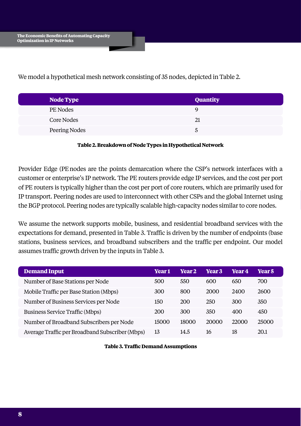We model a hypothetical mesh network consisting of 35 nodes, depicted in Table 2.

| Node Type     | <b>Quantity</b> |
|---------------|-----------------|
| PE Nodes      | Ч               |
| Core Nodes    | 21              |
| Peering Nodes | ১               |

#### **Table 2. Breakdown of Node Types in Hypothetical Network**

Provider Edge (PE nodes are the points demarcation where the CSP's network interfaces with a customer or enterprise's IP network. The PE routers provide edge IP services, and the cost per port of PE routers is typically higher than the cost per port of core routers, which are primarily used for IP transport. Peering nodes are used to interconnect with other CSPs and the global Internet using the BGP protocol. Peering nodes are typically scalable high-capacity nodes similar to core nodes.

We assume the network supports mobile, business, and residential broadband services with the expectations for demand, presented in Table 3. Traffic is driven by the number of endpoints (base stations, business services, and broadband subscribers and the traffic per endpoint. Our model assumes traffic growth driven by the inputs in Table 3.

| <b>Demand Input</b>                             | <b>Year 1</b> | <b>Year 2</b> | <b>Year 3</b> | <b>Year 4</b> | <b>Year 5</b> |
|-------------------------------------------------|---------------|---------------|---------------|---------------|---------------|
| Number of Base Stations per Node                | 500           | 550           | 600           | 650           | 700           |
| Mobile Traffic per Base Station (Mbps)          | 300           | 800           | 2000          | 2400          | 2600          |
| Number of Business Services per Node            | 150           | 200           | 250           | 300           | 350           |
| <b>Business Service Traffic (Mbps)</b>          | 200           | 300           | 350           | 400           | 450           |
| Number of Broadband Subscribers per Node        | 15000         | 18000         | 20000         | 22000         | 25000         |
| Average Traffic per Broadband Subscriber (Mbps) | 13            | 14.5          | 16            | 18            | 20.1          |

#### **Table 3. Traffic Demand Assumptions**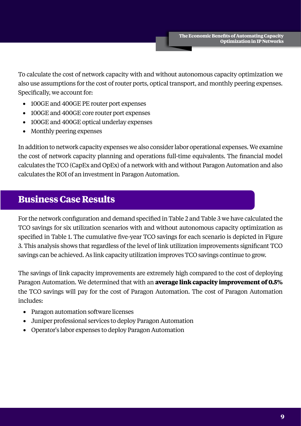To calculate the cost of network capacity with and without autonomous capacity optimization we also use assumptions for the cost of router ports, optical transport, and monthly peering expenses. Specifically, we account for:

- 100GE and 400GE PE router port expenses
- 100GE and 400GE core router port expenses
- 100GE and 400GE optical underlay expenses
- Monthly peering expenses

In addition to network capacity expenses we also consider labor operational expenses. We examine the cost of network capacity planning and operations full-time equivalents. The financial model calculates the TCO (CapEx and OpEx) of a network with and without Paragon Automation and also calculates the ROI of an investment in Paragon Automation.

### **Business Case Results**

For the network configuration and demand specified in Table 2 and Table 3 we have calculated the TCO savings for six utilization scenarios with and without autonomous capacity optimization as specified in Table 1. The cumulative five-year TCO savings for each scenario is depicted in Figure 3. This analysis shows that regardless of the level of link utilization improvements significant TCO savings can be achieved. As link capacity utilization improves TCO savings continue to grow.

The savings of link capacity improvements are extremely high compared to the cost of deploying Paragon Automation. We determined that with an **average link capacity improvement of 0.5%** the TCO savings will pay for the cost of Paragon Automation. The cost of Paragon Automation includes:

- Paragon automation software licenses
- Juniper professional services to deploy Paragon Automation
- Operator's labor expenses to deploy Paragon Automation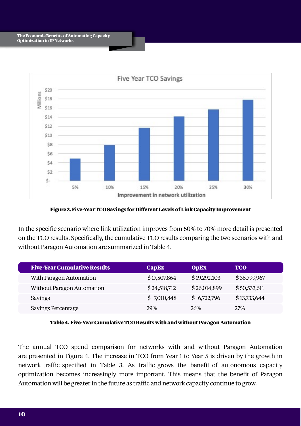

**Figure 3. Five-Year TCO Savings for Different Levels of Link Capacity Improvement**

In the specific scenario where link utilization improves from 50% to 70% more detail is presented on the TCO results. Specifically, the cumulative TCO results comparing the two scenarios with and without Paragon Automation are summarized in Table 4.

| <b>Five-Year Cumulative Results</b> | <b>CapEx</b> | <b>OpEx</b>  | <b>TCO</b>   |
|-------------------------------------|--------------|--------------|--------------|
| With Paragon Automation             | \$17,507,864 | \$19,292,103 | \$36,799,967 |
| Without Paragon Automation          | \$24,518,712 | \$26,014,899 | \$50,533,611 |
| Savings                             | \$7,010,848  | \$6,722,796  | \$13,733,644 |
| Savings Percentage                  | <b>29%</b>   | 26%          | <b>27%</b>   |

**Table 4. Five-Year Cumulative TCO Results with and without Paragon Automation**

The annual TCO spend comparison for networks with and without Paragon Automation are presented in Figure 4. The increase in TCO from Year 1 to Year 5 is driven by the growth in network traffic specified in Table 3. As traffic grows the benefit of autonomous capacity optimization becomes increasingly more important. This means that the benefit of Paragon Automation will be greater in the future as traffic and network capacity continue to grow.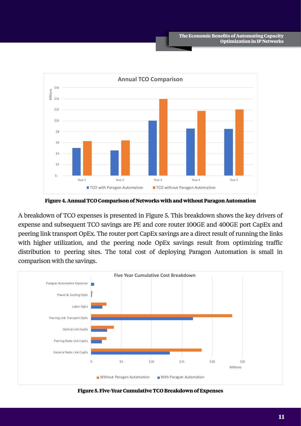

**Figure 4. Annual TCO Comparison of Networks with and without Paragon Automation**

A breakdown of TCO expenses is presented in Figure 5. This breakdown shows the key drivers of expense and subsequent TCO savings are PE and core router 100GE and 400GE port CapEx and peering link transport OpEx. The router port CapEx savings are a direct result of running the links with higher utilization, and the peering node OpEx savings result from optimizing traffic distribution to peering sites. The total cost of deploying Paragon Automation is small in comparison with the savings.



**Figure 5. Five-Year Cumulative TCO Breakdown of Expenses**